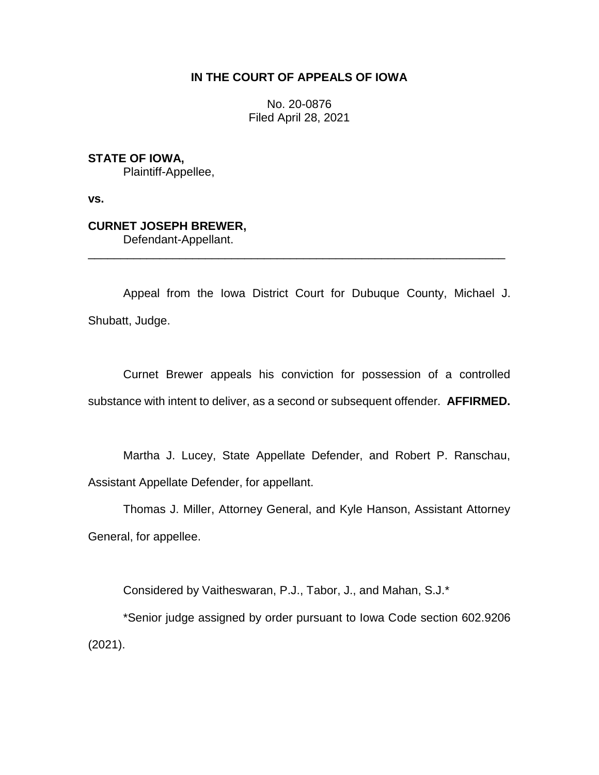## **IN THE COURT OF APPEALS OF IOWA**

No. 20-0876 Filed April 28, 2021

**STATE OF IOWA,**

Plaintiff-Appellee,

**vs.**

# **CURNET JOSEPH BREWER,**

Defendant-Appellant.

Appeal from the Iowa District Court for Dubuque County, Michael J. Shubatt, Judge.

\_\_\_\_\_\_\_\_\_\_\_\_\_\_\_\_\_\_\_\_\_\_\_\_\_\_\_\_\_\_\_\_\_\_\_\_\_\_\_\_\_\_\_\_\_\_\_\_\_\_\_\_\_\_\_\_\_\_\_\_\_\_\_\_

Curnet Brewer appeals his conviction for possession of a controlled substance with intent to deliver, as a second or subsequent offender. **AFFIRMED.**

Martha J. Lucey, State Appellate Defender, and Robert P. Ranschau, Assistant Appellate Defender, for appellant.

Thomas J. Miller, Attorney General, and Kyle Hanson, Assistant Attorney General, for appellee.

Considered by Vaitheswaran, P.J., Tabor, J., and Mahan, S.J.\*

\*Senior judge assigned by order pursuant to Iowa Code section 602.9206 (2021).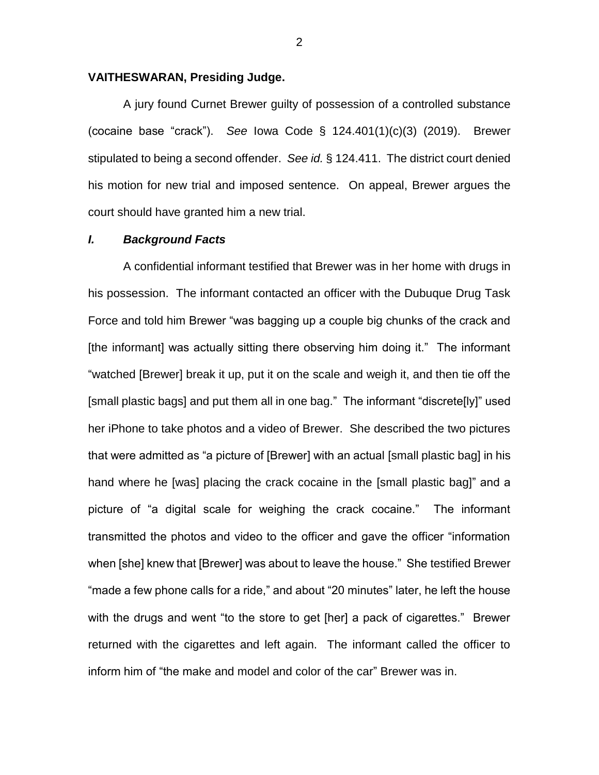### **VAITHESWARAN, Presiding Judge.**

A jury found Curnet Brewer guilty of possession of a controlled substance (cocaine base "crack"). *See* Iowa Code § 124.401(1)(c)(3) (2019). Brewer stipulated to being a second offender. *See id.* § 124.411. The district court denied his motion for new trial and imposed sentence. On appeal, Brewer argues the court should have granted him a new trial.

#### *I. Background Facts*

A confidential informant testified that Brewer was in her home with drugs in his possession. The informant contacted an officer with the Dubuque Drug Task Force and told him Brewer "was bagging up a couple big chunks of the crack and [the informant] was actually sitting there observing him doing it." The informant "watched [Brewer] break it up, put it on the scale and weigh it, and then tie off the [small plastic bags] and put them all in one bag." The informant "discrete[ly]" used her iPhone to take photos and a video of Brewer. She described the two pictures that were admitted as "a picture of [Brewer] with an actual [small plastic bag] in his hand where he [was] placing the crack cocaine in the [small plastic bag]" and a picture of "a digital scale for weighing the crack cocaine." The informant transmitted the photos and video to the officer and gave the officer "information when [she] knew that [Brewer] was about to leave the house." She testified Brewer "made a few phone calls for a ride," and about "20 minutes" later, he left the house with the drugs and went "to the store to get [her] a pack of cigarettes." Brewer returned with the cigarettes and left again. The informant called the officer to inform him of "the make and model and color of the car" Brewer was in.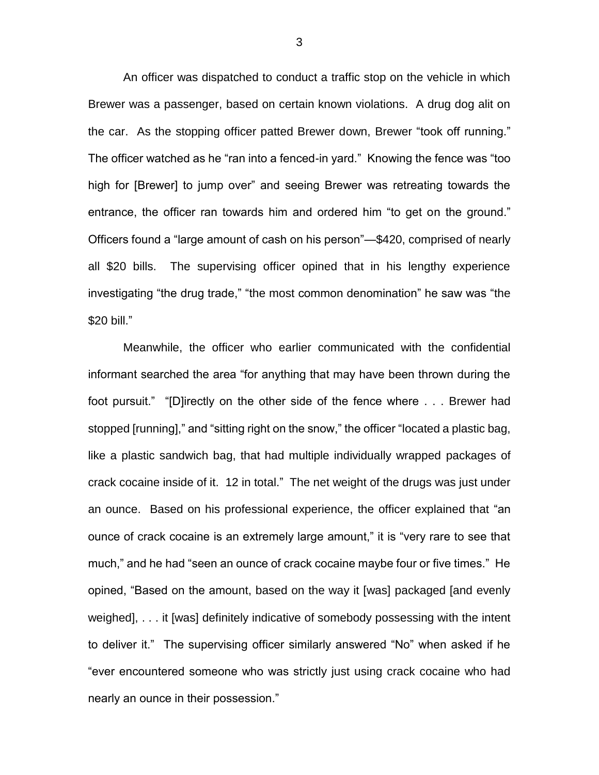An officer was dispatched to conduct a traffic stop on the vehicle in which Brewer was a passenger, based on certain known violations. A drug dog alit on the car. As the stopping officer patted Brewer down, Brewer "took off running." The officer watched as he "ran into a fenced-in yard." Knowing the fence was "too high for [Brewer] to jump over" and seeing Brewer was retreating towards the entrance, the officer ran towards him and ordered him "to get on the ground." Officers found a "large amount of cash on his person"—\$420, comprised of nearly all \$20 bills. The supervising officer opined that in his lengthy experience investigating "the drug trade," "the most common denomination" he saw was "the \$20 bill."

Meanwhile, the officer who earlier communicated with the confidential informant searched the area "for anything that may have been thrown during the foot pursuit." "[D]irectly on the other side of the fence where . . . Brewer had stopped [running]," and "sitting right on the snow," the officer "located a plastic bag, like a plastic sandwich bag, that had multiple individually wrapped packages of crack cocaine inside of it. 12 in total." The net weight of the drugs was just under an ounce. Based on his professional experience, the officer explained that "an ounce of crack cocaine is an extremely large amount," it is "very rare to see that much," and he had "seen an ounce of crack cocaine maybe four or five times." He opined, "Based on the amount, based on the way it [was] packaged [and evenly weighed], . . . it [was] definitely indicative of somebody possessing with the intent to deliver it." The supervising officer similarly answered "No" when asked if he "ever encountered someone who was strictly just using crack cocaine who had nearly an ounce in their possession."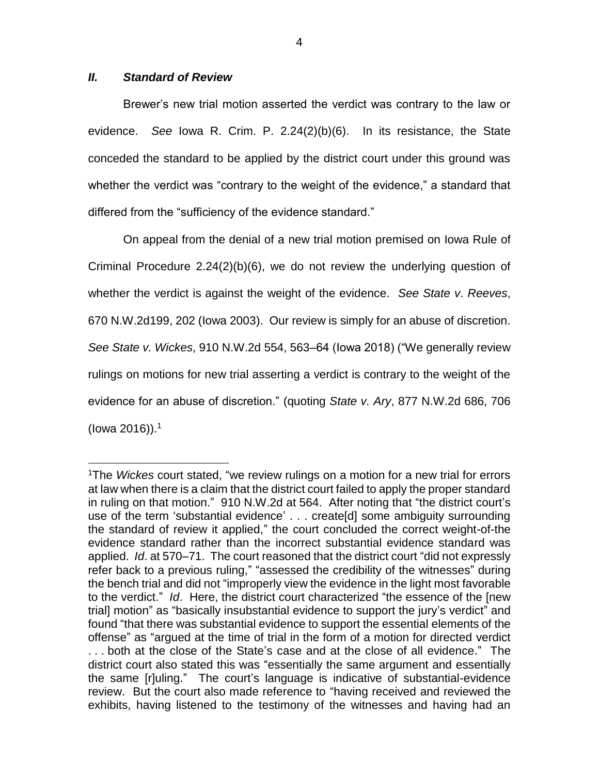#### *II. Standard of Review*

 $\overline{a}$ 

Brewer's new trial motion asserted the verdict was contrary to the law or evidence. *See* Iowa R. Crim. P. 2.24(2)(b)(6). In its resistance, the State conceded the standard to be applied by the district court under this ground was whether the verdict was "contrary to the weight of the evidence," a standard that differed from the "sufficiency of the evidence standard."

On appeal from the denial of a new trial motion premised on Iowa Rule of Criminal Procedure 2.24(2)(b)(6), we do not review the underlying question of whether the verdict is against the weight of the evidence. *See State v*. *Reeves*, 670 N.W.2d199, 202 (Iowa 2003). Our review is simply for an abuse of discretion. *See State v. Wickes*, 910 N.W.2d 554, 563–64 (Iowa 2018) ("We generally review rulings on motions for new trial asserting a verdict is contrary to the weight of the evidence for an abuse of discretion." (quoting *State v. Ary*, 877 N.W.2d 686, 706 (Iowa 2016)). 1

<sup>1</sup>The *Wickes* court stated, "we review rulings on a motion for a new trial for errors at law when there is a claim that the district court failed to apply the proper standard in ruling on that motion." 910 N.W.2d at 564. After noting that "the district court's use of the term 'substantial evidence' . . . create[d] some ambiguity surrounding the standard of review it applied," the court concluded the correct weight-of-the evidence standard rather than the incorrect substantial evidence standard was applied. *Id*. at 570–71. The court reasoned that the district court "did not expressly refer back to a previous ruling," "assessed the credibility of the witnesses" during the bench trial and did not "improperly view the evidence in the light most favorable to the verdict." *Id*. Here, the district court characterized "the essence of the [new trial] motion" as "basically insubstantial evidence to support the jury's verdict" and found "that there was substantial evidence to support the essential elements of the offense" as "argued at the time of trial in the form of a motion for directed verdict . . . both at the close of the State's case and at the close of all evidence." The district court also stated this was "essentially the same argument and essentially the same [r]uling." The court's language is indicative of substantial-evidence review. But the court also made reference to "having received and reviewed the exhibits, having listened to the testimony of the witnesses and having had an